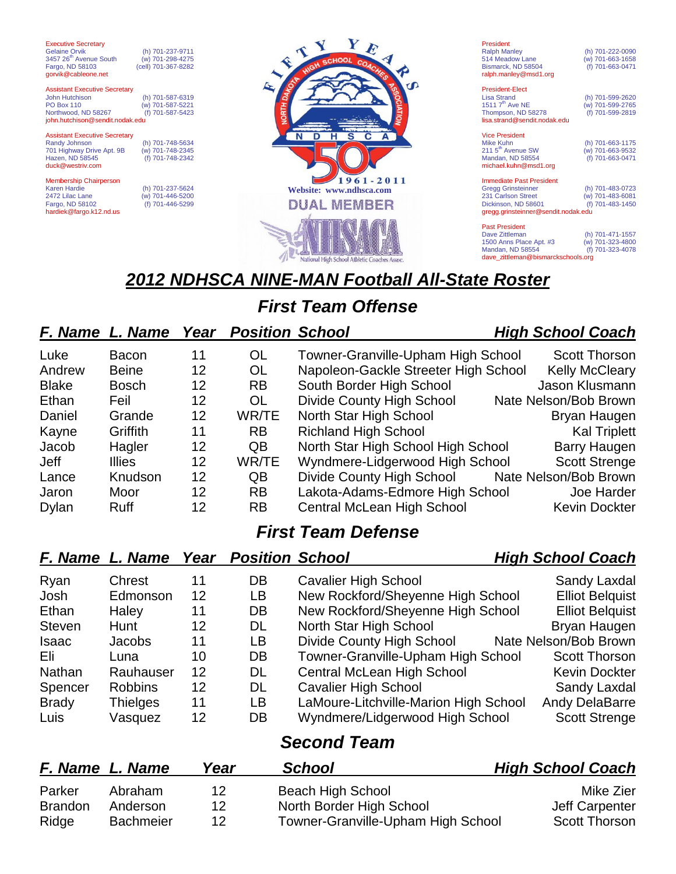| <b>Gelaine Orvik</b><br>3457 26 <sup>th</sup> Avenue South<br>Fargo, ND 58103<br>gorvik@cableone.net                                  | (h) 701-237-9711<br>(w) 701-298-4275<br>(cell) 701-367-8282 |   |
|---------------------------------------------------------------------------------------------------------------------------------------|-------------------------------------------------------------|---|
| <b>Assistant Executive Secretary</b><br>John Hutchison<br><b>PO Box 110</b><br>Northwood, ND 58267<br>john.hutchison@sendit.nodak.edu | (h) 701-587-6319<br>(w) 701-587-5221<br>(f) 701-587-5423    |   |
| <b>Assistant Executive Secretary</b><br>Randy Johnson<br>701 Highway Drive Apt. 9B<br>Hazen, ND 58545<br>duck@westriv.com             | (h) 701-748-5634<br>(w) 701-748-2345<br>(f) 701-748-2342    |   |
| <b>Membership Chairperson</b><br><b>Karen Hardie</b><br>2472 Lilac Lane                                                               | (h) 701-237-5624<br>(w) 701-446-5200                        | W |

Fargo, ND 58102 (f) 701-446-5299

hardiek@fargo.k12.nd.us

Executive Secretary



President Ralph Manley (h) 701-222-0090<br>514 Meadow Lane (w) 701-663-1658 10. 12.1 Meadow Lane (w) 701-663-1658<br>Bismarck, ND 58504 (f) 701-663-0471 Bismarck, ND 58504 ralph.manley@msd1.org President-Elect

Lisa Strand (h) 701-599-2620  $(w)$  701-599-2765<br>(f) 701-599-2819 Thompson, ND 58278 lisa.strand@sendit.nodak.edu

Vice President<br>Mike Kuhn

(h) 701-663-1175<br>(w) 701-663-9532

211 5<sup>th</sup> Avenue SW (w) 701-663-9532<br>Mandan, ND 58554 (f) 701-663-0471 Mandan, ND 58554 michael.kuhn@msd1.org Immediate Past President

Gregg Grinsteinner (h) 701-483-0723 231 Carlson Street (w) 701-483-6081 Dickinson, ND 58601 (f) 701-483-1450 gregg.grinsteinner@sendit.nodak.edu

Past President<br>Dave Zittleman (h) 701-471-1557<br>(w) 701-323-4800 1500 Anns Place Apt. #3 (w) 701-323-4800<br>Mandan, ND 58554 (f) 701-323-4800 Mandan, ND 58554 dave\_zittleman@bismarckschools.org

# *2012 NDHSCA NINE-MAN Football All-State Roster*

# *First Team Offense*

### *F. Name L. Name Year Position School High School Coach*

#### Luke Bacon 11 OL Towner-Granville-Upham High School Scott Thorson Andrew Beine 12 OL Napoleon-Gackle Streeter High School Kelly McCleary Blake Bosch 12 RB South Border High School Jason Klusmann Ethan Feil 12 OL Divide County High School Nate Nelson/Bob Brown Daniel Grande 12 WR/TE North Star High School Bryan Haugen Kayne Griffith 11 RB Richland High School Kal Triplett Jacob Hagler 12 QB North Star High School High School Barry Haugen Jeff Illies 12 WR/TE Wyndmere-Lidgerwood High School Scott Strenge Lance Knudson 12 QB Divide County High School Nate Nelson/Bob Brown Jaron Moor 12 RB Lakota-Adams-Edmore High School Joe Harder Dylan Ruff 12 RB Central McLean High School Kevin Dockter

## *First Team Defense*

#### *F. Name L. Name Year Position School High School Coach* Ryan Chrest 11 DB Cavalier High School Sandy Laxdal Josh Edmonson 12 LB New Rockford/Sheyenne High School Elliot Belquist Ethan Haley 11 DB New Rockford/Sheyenne High School Elliot Belquist Steven Hunt 12 DL North Star High School Bryan Haugen Isaac Jacobs 11 LB Divide County High School Nate Nelson/Bob Brown Eli Luna 10 DB Towner-Granville-Upham High School Scott Thorson Nathan Rauhauser 12 DL Central McLean High School Kevin Dockter Spencer Robbins 12 DL Cavalier High School Sandy Laxdal Brady Thielges 11 LB LaMoure-Litchville-Marion High School Andy DelaBarre Luis Vasquez 12 DB Wyndmere/Lidgerwood High School Scott Strenge *Second Team*

|                | F. Name L. Name  | Year | <b>School</b>                      | <b>High School Coach</b> |
|----------------|------------------|------|------------------------------------|--------------------------|
| Parker         | Abraham          | 12   | Beach High School                  | Mike Zier                |
| <b>Brandon</b> | Anderson         | 12   | North Border High School           | Jeff Carpenter           |
| Ridge          | <b>Bachmeier</b> | 12   | Towner-Granville-Upham High School | <b>Scott Thorson</b>     |